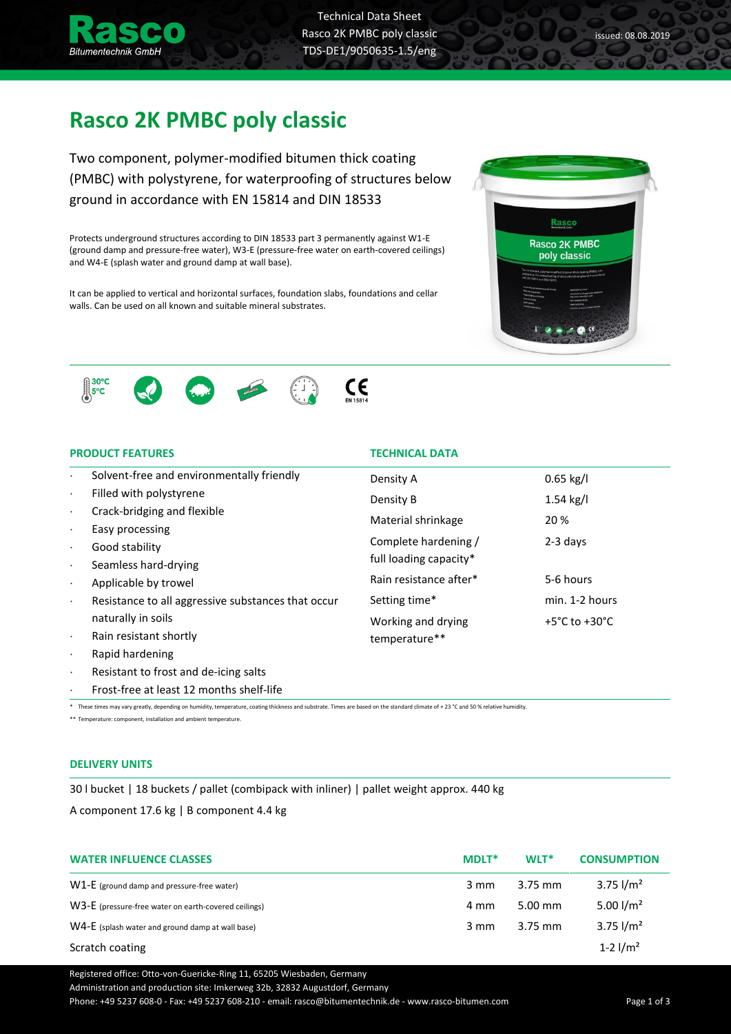

Technical Data Sheet Rasco 2K PMBC poly classic TDS-DE1/9050635-1.5/eng

**TECHNICAL DATA** 

 $\epsilon$ 

full loading capacity\*

temperature\*\*

Density A 0.65 kg/l Density B 1.54 kg/l Material shrinkage 20 % Complete hardening / 2-3 days

Rain resistance after\* 5-6 hours

Setting time\* min. 1-2 hours Working and drying  $+5^{\circ}$ C to +30 $^{\circ}$ C

# **Rasco 2K PMBC poly classic**

Two component, polymer-modified bitumen thick coating (PMBC) with polystyrene, for waterproofing of structures below ground in accordance with EN 15814 and DIN 18533

Protects underground structures according to DIN 18533 part 3 permanently against W1-E (ground damp and pressure-free water), W3-E (pressure-free water on earth-covered ceilings) and W4-E (splash water and ground damp at wall base).

It can be applied to vertical and horizontal surfaces, foundation slabs, foundations and cellar walls. Can be used on all known and suitable mineral substrates.





- Solvent-free and environmentally friendly
- Filled with polystyrene
- Crack-bridging and flexible
- Easy processing
- Good stability
- Seamless hard-drying
- Applicable by trowel
- Resistance to all aggressive substances that occur naturally in soils
- Rain resistant shortly
- Rapid hardening
- Resistant to frost and de-icing salts
- Frost-free at least 12 months shelf-life

\* These times may vary greatly, depending on humidity, temperature, coating thickness and substrate. Times are based on the standard climate of + 23 °C and 50 % relative humidity.

\*\* Temperature: component, installation and ambient temperature.

### **DELIVERY UNITS**

30 l bucket | 18 buckets / pallet (combipack with inliner) | pallet weight approx. 440 kg A component 17.6 kg | B component 4.4 kg

| <b>WATER INFLUENCE CLASSES</b>                       | <b>MDLT*</b>   | WLT*      | <b>CONSUMPTION</b> |
|------------------------------------------------------|----------------|-----------|--------------------|
| $W1-E$ (ground damp and pressure-free water)         | $3 \text{ mm}$ | $3.75$ mm | $3.75$ $1/m2$      |
| W3-E (pressure-free water on earth-covered ceilings) | 4 mm           | $5.00$ mm | 5.00 $1/m^2$       |
| W4-E (splash water and ground damp at wall base)     | $3 \text{ mm}$ | $3.75$ mm | $3.75$ $1/m2$      |
| Scratch coating                                      |                |           | 1-2 $1/m^2$        |

Registered office: Otto-von-Guericke-Ring 11, 65205 Wiesbaden, Germany

Administration and production site: Imkerweg 32b, 32832 Augustdorf, Germany

Phone: +49 5237 608-0 - Fax: +49 5237 608-210 - email: rasco@bitumentechnik.de - www.rasco-bitumen.com Page 1 of 3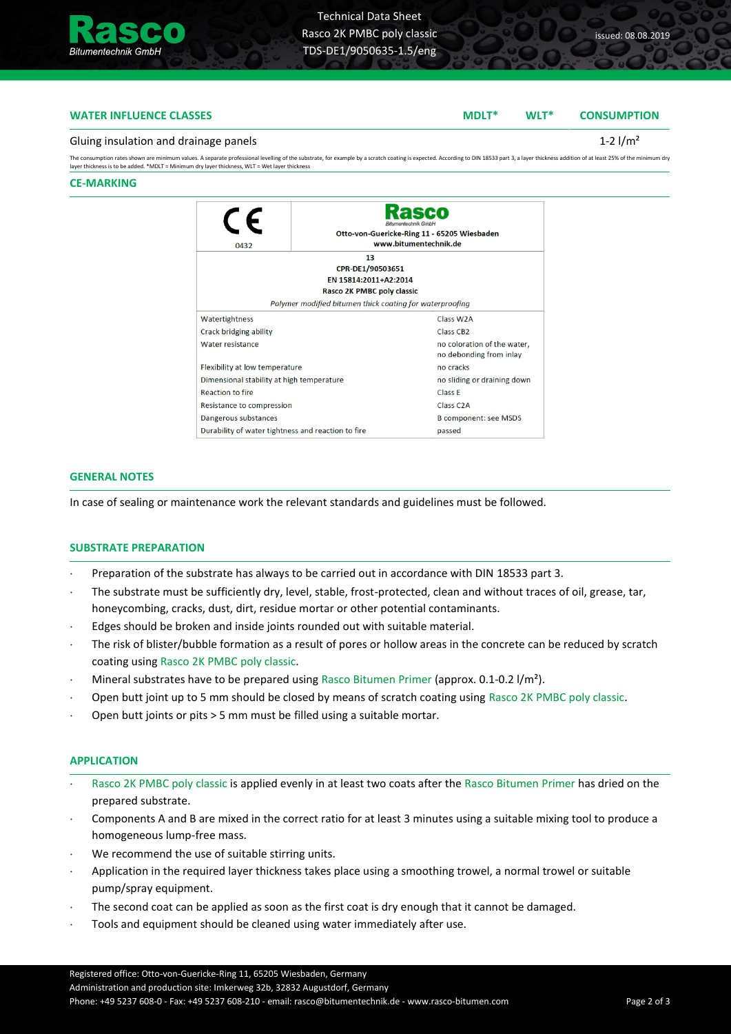

# **WATER INFLUENCE CLASSES MDLT\* WLT\* CONSUMPTION**

#### Gluing insulation and drainage panels  $1-2 \frac{1}{m^2}$

The consumption rates shown are minimum values. A separate professional levelling of the substrate, for example by a scratch coating is expected. According to DIN 18533 part 3, a layer thickness addition of at least 25% of

#### **CE-MARKING**

| 0432                                                         | Bitumentechnik GmbH<br>Otto-von-Guericke-Ring 11 - 65205 Wiesbaden<br>www.bitumentechnik.de |                                                        |  |  |
|--------------------------------------------------------------|---------------------------------------------------------------------------------------------|--------------------------------------------------------|--|--|
| 13<br>CPR-DE1/90503651                                       |                                                                                             |                                                        |  |  |
| EN 15814:2011+A2:2014                                        |                                                                                             |                                                        |  |  |
| Rasco 2K PMBC poly classic                                   |                                                                                             |                                                        |  |  |
| Polymer modified bitumen thick coating for waterproofing     |                                                                                             |                                                        |  |  |
| Watertightness                                               |                                                                                             | Class W <sub>2</sub> A                                 |  |  |
| Class CB <sub>2</sub><br>Crack bridging ability              |                                                                                             |                                                        |  |  |
| Water resistance                                             |                                                                                             | no coloration of the water,<br>no debonding from inlay |  |  |
| Flexibility at low temperature                               |                                                                                             | no cracks                                              |  |  |
| Dimensional stability at high temperature                    |                                                                                             | no sliding or draining down                            |  |  |
| <b>Reaction to fire</b>                                      |                                                                                             | Class F                                                |  |  |
| Resistance to compression                                    |                                                                                             | Class C <sub>2</sub> A                                 |  |  |
| Dangerous substances                                         |                                                                                             | <b>B</b> component: see MSDS                           |  |  |
| Durability of water tightness and reaction to fire<br>passed |                                                                                             |                                                        |  |  |

### **GENERAL NOTES**

In case of sealing or maintenance work the relevant standards and guidelines must be followed.

### **SUBSTRATE PREPARATION**

- Preparation of the substrate has always to be carried out in accordance with DIN 18533 part 3.
- The substrate must be sufficiently dry, level, stable, frost-protected, clean and without traces of oil, grease, tar, honeycombing, cracks, dust, dirt, residue mortar or other potential contaminants.
- Edges should be broken and inside joints rounded out with suitable material.
- The risk of blister/bubble formation as a result of pores or hollow areas in the concrete can be reduced by scratch coating using Rasco 2K PMBC poly classic.
- Mineral substrates have to be prepared using Rasco Bitumen Primer (approx. 0.1-0.2 l/m<sup>2</sup>).
- Open butt joint up to 5 mm should be closed by means of scratch coating using Rasco 2K PMBC poly classic.
- Open butt joints or pits > 5 mm must be filled using a suitable mortar.

#### **APPLICATION**

- Rasco 2K PMBC poly classic is applied evenly in at least two coats after the Rasco Bitumen Primer has dried on the prepared substrate.
- Components A and B are mixed in the correct ratio for at least 3 minutes using a suitable mixing tool to produce a homogeneous lump-free mass.
- We recommend the use of suitable stirring units.
- Application in the required layer thickness takes place using a smoothing trowel, a normal trowel or suitable pump/spray equipment.
- The second coat can be applied as soon as the first coat is dry enough that it cannot be damaged.
- Tools and equipment should be cleaned using water immediately after use.